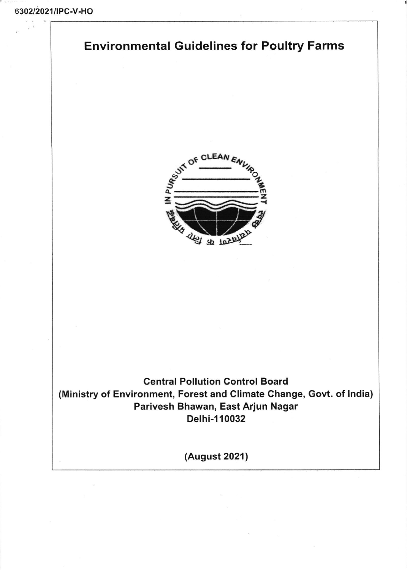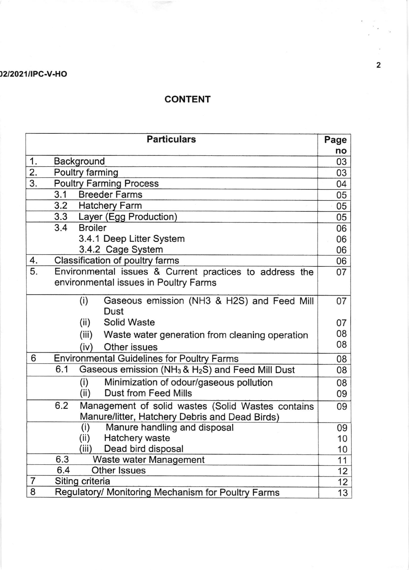## 02/2021/IPC-V-HO

## CONTENT

|    | <b>Particulars</b>                                             | Page |  |
|----|----------------------------------------------------------------|------|--|
|    |                                                                | no   |  |
| 1. | <b>Background</b>                                              | 03   |  |
| 2. | Poultry farming                                                |      |  |
| 3. | <b>Poultry Farming Process</b>                                 |      |  |
|    | 3.1<br><b>Breeder Farms</b>                                    | 05   |  |
|    | 3.2<br><b>Hatchery Farm</b>                                    | 05   |  |
|    | 3.3 Layer (Egg Production)                                     | 05   |  |
|    | 3.4<br><b>Broiler</b>                                          | 06   |  |
|    | 3.4.1 Deep Litter System                                       | 06   |  |
|    | 3.4.2 Cage System                                              | 06   |  |
| 4. | Classification of poultry farms                                | 06   |  |
| 5. | Environmental issues & Current practices to address the        | 07   |  |
|    | environmental issues in Poultry Farms                          |      |  |
|    | Gaseous emission (NH3 & H2S) and Feed Mill<br>(i)              | 07   |  |
|    | Dust                                                           |      |  |
|    | (ii)<br><b>Solid Waste</b>                                     | 07   |  |
|    | (iii)<br>Waste water generation from cleaning operation        | 08   |  |
|    | Other issues<br>(iv)                                           | 08   |  |
| 6  | <b>Environmental Guidelines for Poultry Farms</b>              | 80   |  |
|    | 6.1<br>Gaseous emission ( $NH_3$ & $H_2S$ ) and Feed Mill Dust | 80   |  |
|    | Minimization of odour/gaseous pollution<br>(i)                 | 80   |  |
|    | <b>Dust from Feed Mills</b><br>(ii)                            | 09   |  |
|    | 6.2<br>Management of solid wastes (Solid Wastes contains       | 09   |  |
|    | Manure/litter, Hatchery Debris and Dead Birds)                 |      |  |
|    | Manure handling and disposal<br>(i)                            | 09   |  |
|    | (ii)<br>Hatchery waste                                         | 10   |  |
|    | (iii)<br>Dead bird disposal                                    | 10   |  |
|    | 6.3<br>Waste water Management                                  | 11   |  |
|    | 6.4<br><b>Other Issues</b>                                     | 12   |  |
| 7  | Siting criteria                                                | 12   |  |
| 8  | Regulatory/ Monitoring Mechanism for Poultry Farms             | 13   |  |

2